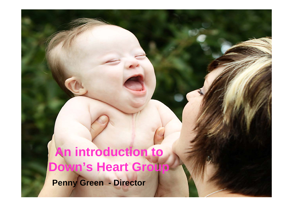**An introduction to Down's Heart Group**

**Penny Green - Director**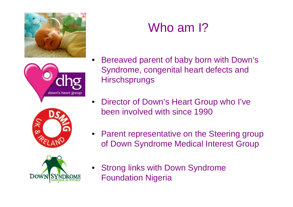



# Who am 1?

• Bereaved parent of baby born with Down's Syndrome, congenital heart defects and **Hirschsprungs** 



- Director of Down's Heart Group who I've been involved with since 1990
- Parent representative on the Steering group of Down Syndrome Medical Interest Group



• Strong links with Down Syndrome Foundation Nigeria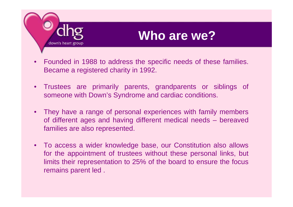

## **Who are we?**

- Founded in 1988 to address the specific needs of these families. Became a registered charity in 1992.
- Trustees are primarily parents, grandparents or siblings of someone with Down's Syndrome and cardiac conditions.
- They have a range of personal experiences with family members of different ages and having different medical needs – bereaved families are also represented.
- To access a wider knowledge base, our Constitution also allows for the appointment of trustees without these personal links, but limits their representation to 25% of the board to ensure the focus remains parent led .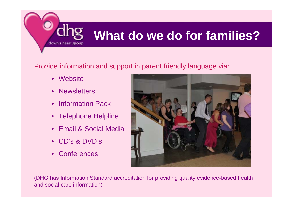# **What do we do for families?**

#### Provide information and support in parent friendly language via:

• Website

down's heart group

- Newsletters
- Information Pack
- Telephone Helpline
- Email & Social Media
- CD's & DVD's
- Conferences



(DHG has Information Standard accreditation for providing quality evidence-based health and social care information)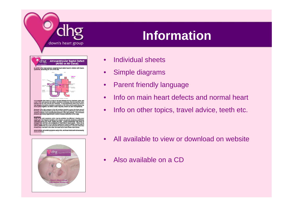

# **Information**



In its complete form there is a hole in the wall between the top chambers (atria) and<br>a hole in the wall between the bottom chambers (verificies), and one common valve<br>between the two atria and the two ventricies. In the p hole between the bottom chambers (ventricles) or the mitral and tricuspid valves may<br>not be joined together, but either or both may leak, known as valve incompetence.

Because of the high pressure in the left verifride (needed to pump the blood around<br>the body), blood is forced through the holes in the septum (central heart wall) when the<br>verifride contracts, thus increasing the pressure

Symptom<br>Some of the early symptoms which may be exhibited are difficulty in feeding, poor<br>weight gain, fast frequent treathing and a degree of cyanosis (blueness) particularly<br>entranged heart and her mouth, fingers and toe working inefficiently due to the demands the body is placing on it. Because of the flow<br>of blood from one side to the other, the heart has to work harder than normal.

Not all children will exhibit symptoms early in life, and those that do will not necessa show all of these.



- Individual sheets
- Simple diagrams
- Parent friendly language
- Info on main heart defects and normal heart
- Info on other topics, travel advice, teeth etc.

- All available to view or download on website
- Also available on a CD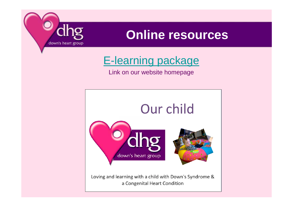

## **Online resources**

### [E-learning package](http://www.nottingham.ac.uk/nursing/sonet/rlos/learndis/our_child/story_html5.html)

#### Link on our website homepage

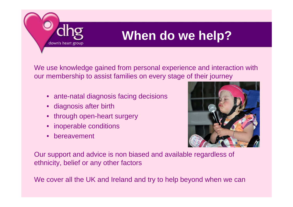

# **When do we help?**

We use knowledge gained from personal experience and interaction with our membership to assist families on every stage of their journey

- ante-natal diagnosis facing decisions
- diagnosis after birth
- through open-heart surgery
- inoperable conditions
- bereavement



Our support and advice is non biased and available regardless of ethnicity, belief or any other factors

We cover all the UK and Ireland and try to help beyond when we can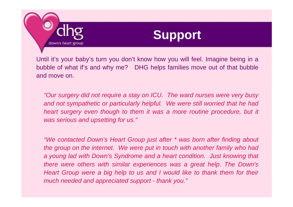



Until it's your baby's turn you don't know how you will feel. Imagine being in a bubble of what if's and why me? DHG helps families move out of that bubble and move on.

*"Our surgery did not require a stay on ICU. The ward nurses were very busy*  and not sympathetic or particularly helpful. We were still worried that he had *heart surgery even though to them it was a more routine procedure, but it was serious and upsetting for us."*

*"We contacted Down's Heart Group just after \* was born after finding about the group on the internet. We were put in touch with another family who had a young lad with Down's Syndrome and a heart condition. Just knowing that there were others with similar experiences was a great help. The Down's Heart Group were a big help to us and I would like to thank them for their much needed and appreciated support - thank you."*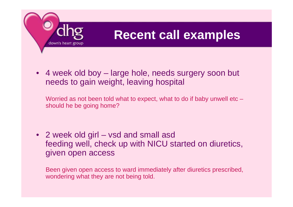

# **Recent call examples**

• 4 week old boy – large hole, needs surgery soon but needs to gain weight, leaving hospital

Worried as not been told what to expect, what to do if baby unwell etc – should he be going home?

• 2 week old girl – vsd and small asd feeding well, check up with NICU started on diuretics, given open access

Been given open access to ward immediately after diuretics prescribed, wondering what they are not being told.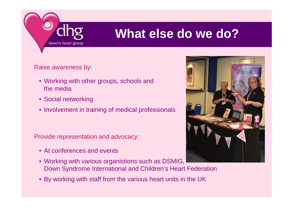

# **What else do we do?**

Raise awareness by:

- Working with other groups, schools and the media
- Social networking
- Involvement in training of medical professionals

Provide representation and advocacy:

- At conferences and events
- Working with various organistions such as DSMIG, Down Syndrome International and Children's Heart Federation
- By working with staff from the various heart units in the UK